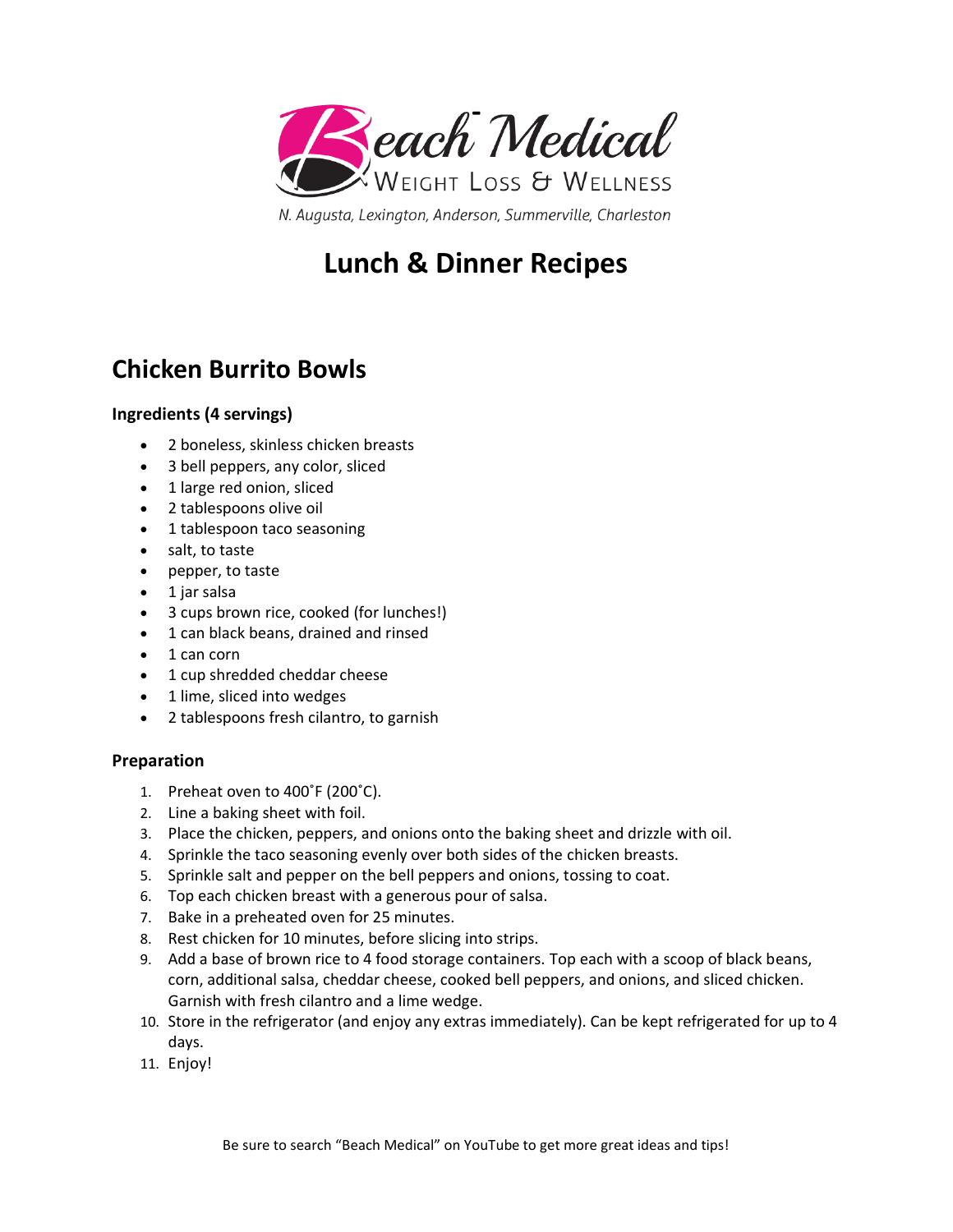

# **Lunch & Dinner Recipes**

## **Chicken Burrito Bowls**

### **Ingredients (4 servings)**

- 2 boneless, skinless chicken breasts
- 3 bell peppers, any color, sliced
- 1 large red onion, sliced
- 2 tablespoons olive oil
- 1 tablespoon taco seasoning
- salt, to taste
- pepper, to taste
- 1 jar salsa
- 3 cups brown rice, cooked (for lunches!)
- 1 can black beans, drained and rinsed
- 1 can corn
- 1 cup shredded cheddar cheese
- 1 lime, sliced into wedges
- 2 tablespoons fresh cilantro, to garnish

### **Preparation**

- 1. Preheat oven to 400˚F (200˚C).
- 2. Line a baking sheet with foil.
- 3. Place the chicken, peppers, and onions onto the baking sheet and drizzle with oil.
- 4. Sprinkle the taco seasoning evenly over both sides of the chicken breasts.
- 5. Sprinkle salt and pepper on the bell peppers and onions, tossing to coat.
- 6. Top each chicken breast with a generous pour of salsa.
- 7. Bake in a preheated oven for 25 minutes.
- 8. Rest chicken for 10 minutes, before slicing into strips.
- 9. Add a base of brown rice to 4 food storage containers. Top each with a scoop of black beans, corn, additional salsa, cheddar cheese, cooked bell peppers, and onions, and sliced chicken. Garnish with fresh cilantro and a lime wedge.
- 10. Store in the refrigerator (and enjoy any extras immediately). Can be kept refrigerated for up to 4 days.
- 11. Enjoy!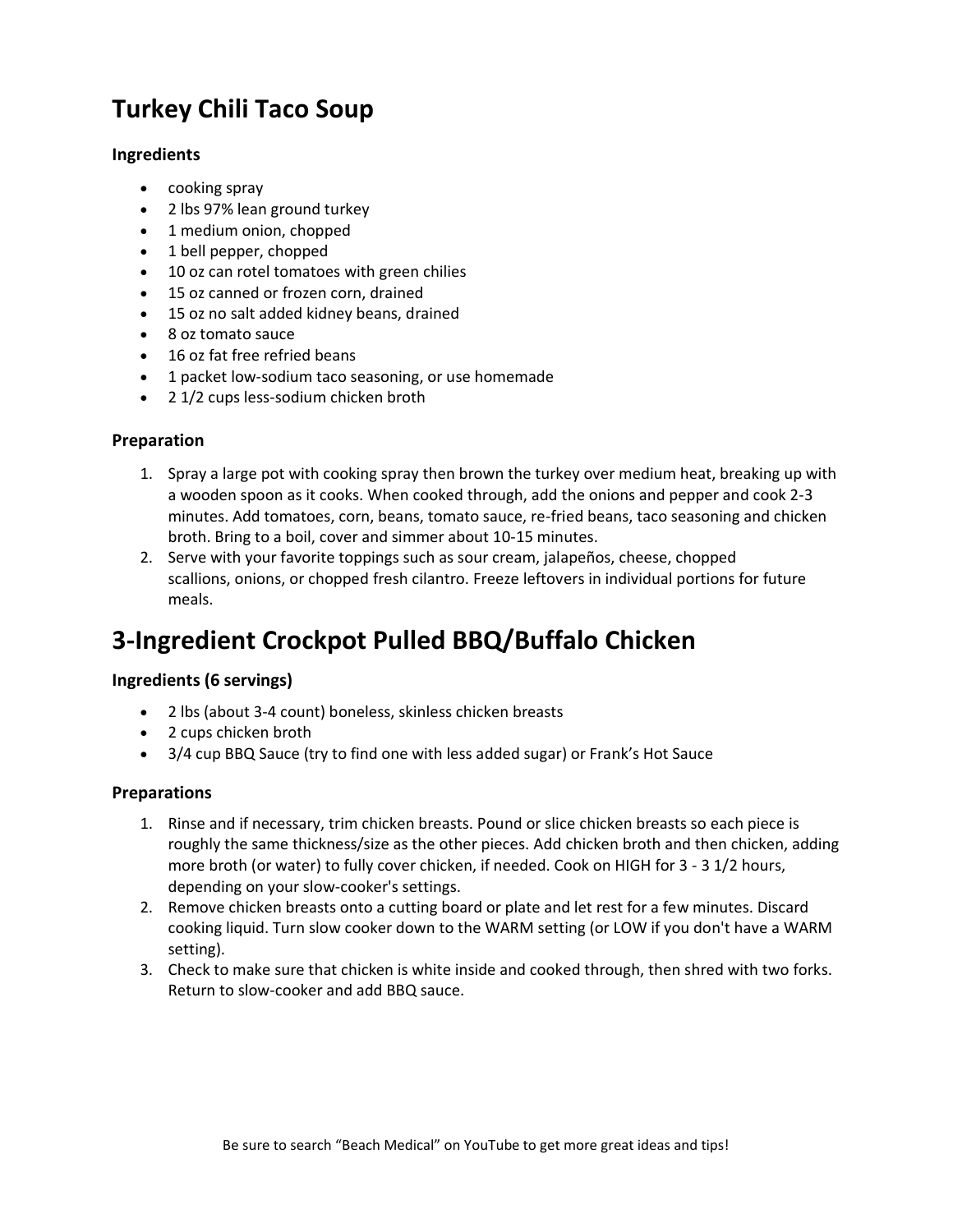# **Turkey Chili Taco Soup**

### **Ingredients**

- cooking spray
- 2 lbs 97% lean ground turkey
- 1 medium onion, chopped
- 1 bell pepper, chopped
- 10 oz can rotel tomatoes with green chilies
- 15 oz canned or frozen corn, drained
- 15 oz no salt added kidney beans, drained
- 8 oz tomato sauce
- 16 oz fat free refried beans
- 1 packet low-sodium taco seasoning, or use homemade
- 2 1/2 cups less-sodium chicken broth

#### **Preparation**

- 1. Spray a large pot with cooking spray then brown the turkey over medium heat, breaking up with a wooden spoon as it cooks. When cooked through, add the onions and pepper and cook 2-3 minutes. Add tomatoes, corn, beans, tomato sauce, re-fried beans, taco seasoning and chicken broth. Bring to a boil, cover and simmer about 10-15 minutes.
- 2. Serve with your favorite toppings such as sour cream, jalapeños, cheese, chopped scallions, onions, or chopped fresh cilantro. Freeze leftovers in individual portions for future meals.

### **3-Ingredient Crockpot Pulled BBQ/Buffalo Chicken**

### **Ingredients (6 servings)**

- 2 lbs (about 3-4 count) boneless, skinless chicken breasts
- 2 cups chicken broth
- 3/4 cup BBQ Sauce (try to find one with less added sugar) or Frank's Hot Sauce

#### **Preparations**

- 1. Rinse and if necessary, trim chicken breasts. Pound or slice chicken breasts so each piece is roughly the same thickness/size as the other pieces. Add chicken broth and then chicken, adding more broth (or water) to fully cover chicken, if needed. Cook on HIGH for 3 - 3 1/2 hours, depending on your slow-cooker's settings.
- 2. Remove chicken breasts onto a cutting board or plate and let rest for a few minutes. Discard cooking liquid. Turn slow cooker down to the WARM setting (or LOW if you don't have a WARM setting).
- 3. Check to make sure that chicken is white inside and cooked through, then shred with two forks. Return to slow-cooker and add BBQ sauce.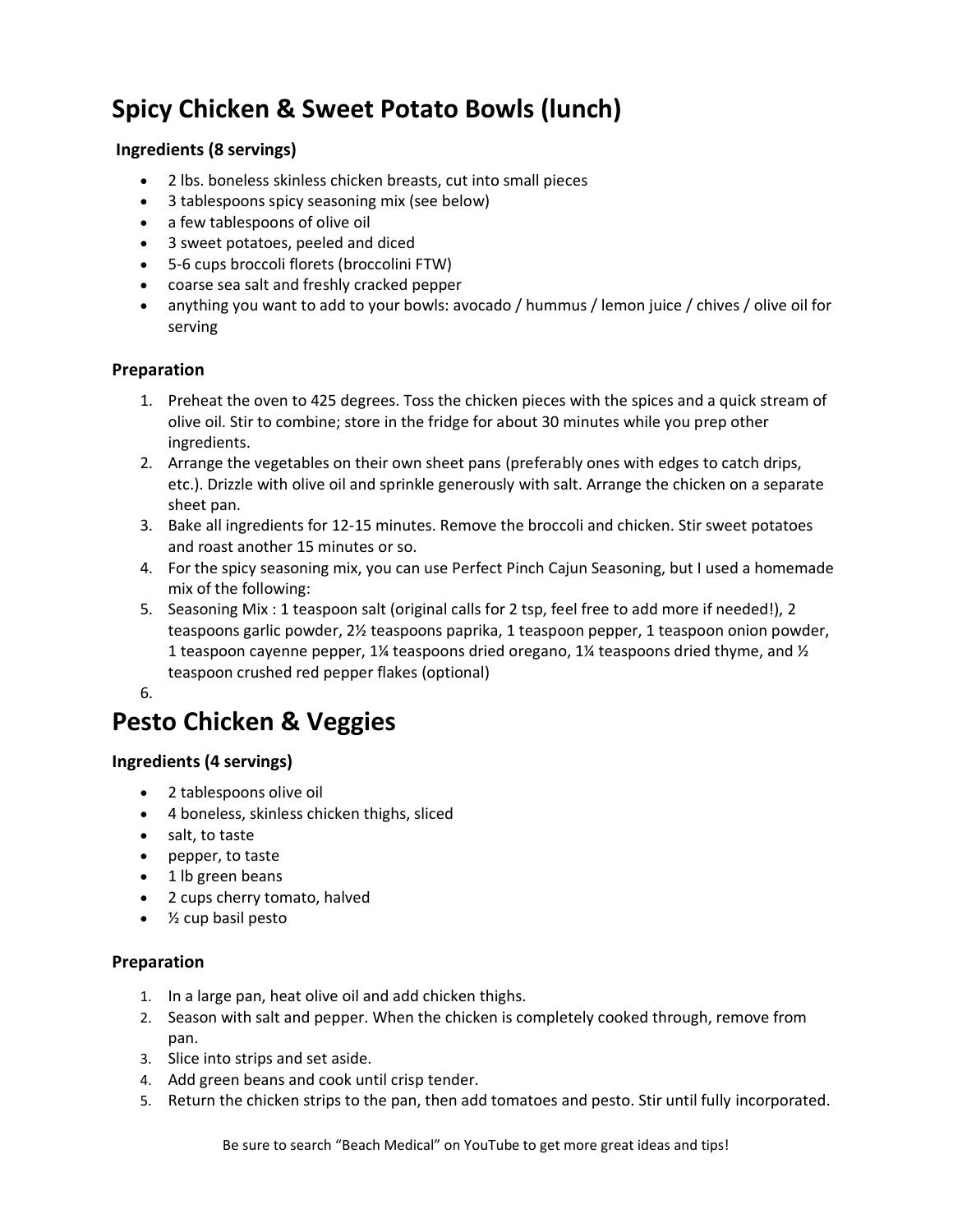# **Spicy Chicken & Sweet Potato Bowls (lunch)**

### **Ingredients (8 servings)**

- 2 lbs. boneless skinless chicken breasts, cut into small pieces
- 3 tablespoons spicy seasoning mix (see below)
- a few tablespoons of olive oil
- 3 sweet potatoes, peeled and diced
- 5-6 cups broccoli florets (broccolini FTW)
- coarse sea salt and freshly cracked pepper
- anything you want to add to your bowls: avocado / hummus / lemon juice / chives / olive oil for serving

### **Preparation**

- 1. Preheat the oven to 425 degrees. Toss the chicken pieces with the spices and a quick stream of olive oil. Stir to combine; store in the fridge for about 30 minutes while you prep other ingredients.
- 2. Arrange the vegetables on their own sheet pans (preferably ones with edges to catch drips, etc.). Drizzle with olive oil and sprinkle generously with salt. Arrange the chicken on a separate sheet pan.
- 3. Bake all ingredients for 12-15 minutes. Remove the broccoli and chicken. Stir sweet potatoes and roast another 15 minutes or so.
- 4. For the spicy seasoning mix, you can use Perfect Pinch Cajun Seasoning, but I used a homemade mix of the following:
- 5. Seasoning Mix : 1 teaspoon salt (original calls for 2 tsp, feel free to add more if needed!), 2 teaspoons garlic powder, 2½ teaspoons paprika, 1 teaspoon pepper, 1 teaspoon onion powder, 1 teaspoon cayenne pepper, 1¼ teaspoons dried oregano, 1¼ teaspoons dried thyme, and  $\frac{1}{2}$ teaspoon crushed red pepper flakes (optional)
- 6.

# **Pesto Chicken & Veggies**

### **Ingredients (4 servings)**

- 2 tablespoons olive oil
- 4 boneless, skinless chicken thighs, sliced
- salt, to taste
- pepper, to taste
- 1 lb green beans
- 2 cups cherry tomato, halved
- ½ cup basil pesto

### **Preparation**

- 1. In a large pan, heat olive oil and add chicken thighs.
- 2. Season with salt and pepper. When the chicken is completely cooked through, remove from pan.
- 3. Slice into strips and set aside.
- 4. Add green beans and cook until crisp tender.
- 5. Return the chicken strips to the pan, then add tomatoes and pesto. Stir until fully incorporated.